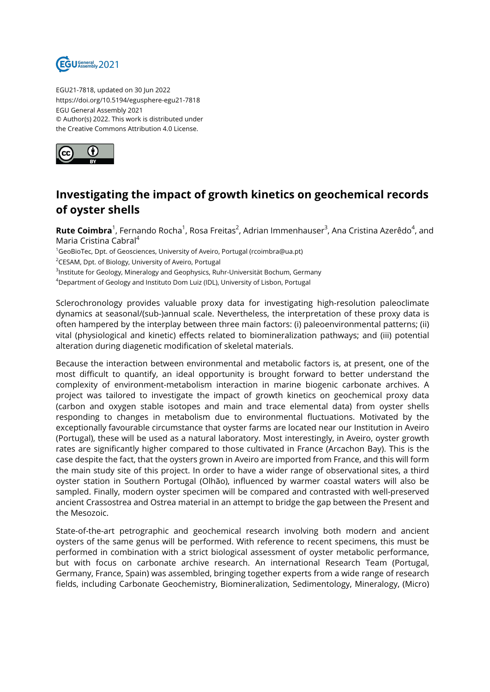

EGU21-7818, updated on 30 Jun 2022 https://doi.org/10.5194/egusphere-egu21-7818 EGU General Assembly 2021 © Author(s) 2022. This work is distributed under the Creative Commons Attribution 4.0 License.



## **Investigating the impact of growth kinetics on geochemical records of oyster shells**

**Rute Coimbra**<sup>1</sup>, Fernando Rocha<sup>1</sup>, Rosa Freitas<sup>2</sup>, Adrian Immenhauser<sup>3</sup>, Ana Cristina Azerêdo<sup>4</sup>, and Maria Cristina Cabral<sup>4</sup>

 $1$ GeoBioTec, Dpt. of Geosciences, University of Aveiro, Portugal (rcoimbra@ua.pt)

<sup>2</sup>CESAM, Dpt. of Biology, University of Aveiro, Portugal

 $^3$ Institute for Geology, Mineralogy and Geophysics, Ruhr-Universität Bochum, Germany

<sup>4</sup>Department of Geology and Instituto Dom Luiz (IDL), University of Lisbon, Portugal

Sclerochronology provides valuable proxy data for investigating high-resolution paleoclimate dynamics at seasonal/(sub-)annual scale. Nevertheless, the interpretation of these proxy data is often hampered by the interplay between three main factors: (i) paleoenvironmental patterns; (ii) vital (physiological and kinetic) effects related to biomineralization pathways; and (iii) potential alteration during diagenetic modification of skeletal materials.

Because the interaction between environmental and metabolic factors is, at present, one of the most difficult to quantify, an ideal opportunity is brought forward to better understand the complexity of environment-metabolism interaction in marine biogenic carbonate archives. A project was tailored to investigate the impact of growth kinetics on geochemical proxy data (carbon and oxygen stable isotopes and main and trace elemental data) from oyster shells responding to changes in metabolism due to environmental fluctuations. Motivated by the exceptionally favourable circumstance that oyster farms are located near our Institution in Aveiro (Portugal), these will be used as a natural laboratory. Most interestingly, in Aveiro, oyster growth rates are significantly higher compared to those cultivated in France (Arcachon Bay). This is the case despite the fact, that the oysters grown in Aveiro are imported from France, and this will form the main study site of this project. In order to have a wider range of observational sites, a third oyster station in Southern Portugal (Olhão), influenced by warmer coastal waters will also be sampled. Finally, modern oyster specimen will be compared and contrasted with well-preserved ancient Crassostrea and Ostrea material in an attempt to bridge the gap between the Present and the Mesozoic.

State-of-the-art petrographic and geochemical research involving both modern and ancient oysters of the same genus will be performed. With reference to recent specimens, this must be performed in combination with a strict biological assessment of oyster metabolic performance, but with focus on carbonate archive research. An international Research Team (Portugal, Germany, France, Spain) was assembled, bringing together experts from a wide range of research fields, including Carbonate Geochemistry, Biomineralization, Sedimentology, Mineralogy, (Micro)